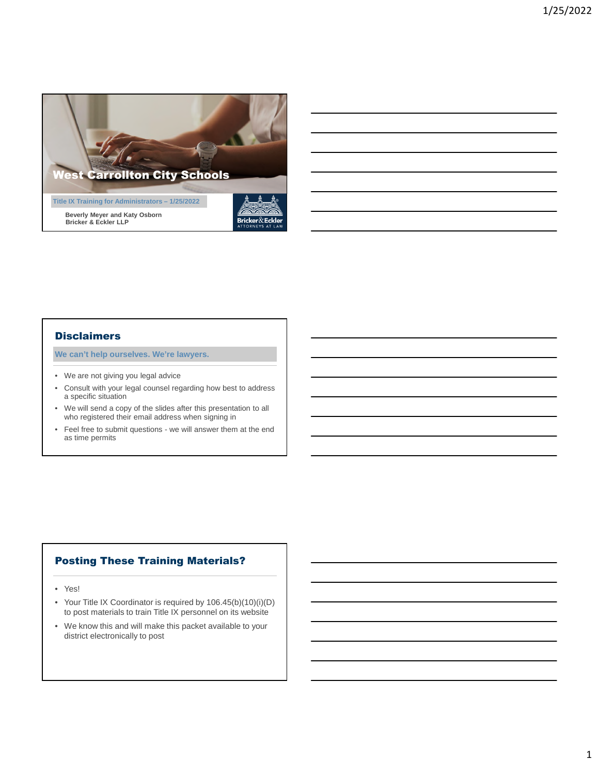

### **Disclaimers**

**We can't help ourselves. We're lawyers.**

- We are not giving you legal advice
- Consult with your legal counsel regarding how best to address a specific situation
- We will send a copy of the slides after this presentation to all who registered their email address when signing in
- Feel free to submit questions we will answer them at the end as time permits

# Posting These Training Materials?

- Yes!
- Your Title IX Coordinator is required by 106.45(b)(10)(i)(D) to post materials to train Title IX personnel on its website
- We know this and will make this packet available to your district electronically to post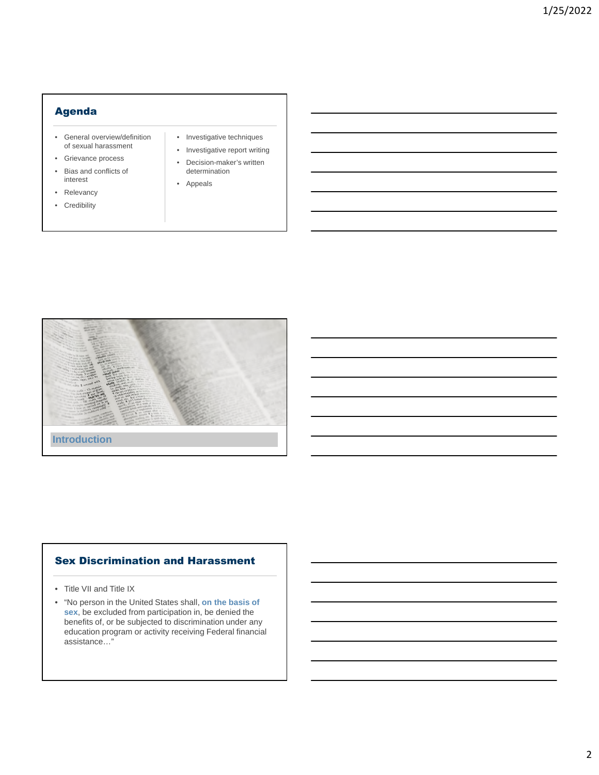# Agenda

- General overview/definition of sexual harassment
- Grievance process
- Bias and conflicts of interest
- Relevancy
- Credibility
- Investigative techniques
- Investigative report writing
- Decision-maker's written determination
- Appeals



# Sex Discrimination and Harassment

- Title VII and Title IX
- "No person in the United States shall, **on the basis of sex**, be excluded from participation in, be denied the benefits of, or be subjected to discrimination under any education program or activity receiving Federal financial assistance…"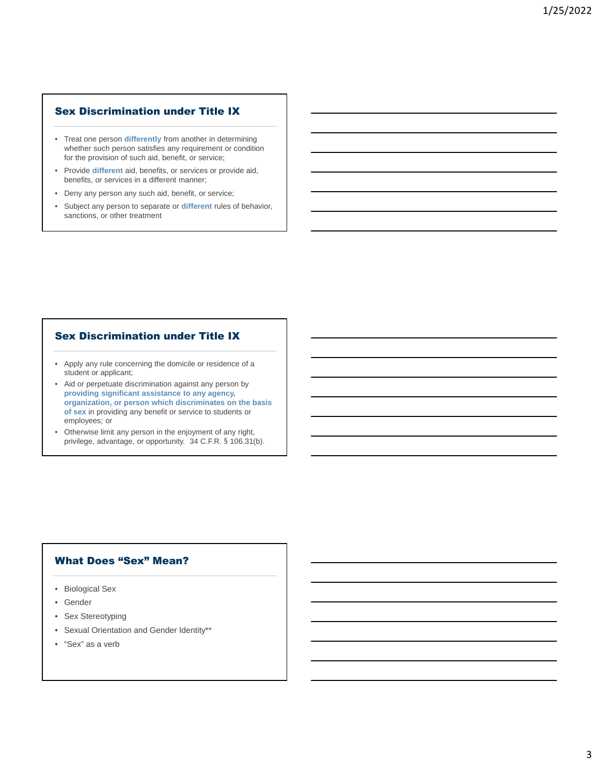# Sex Discrimination under Title IX

- Treat one person **differently** from another in determining whether such person satisfies any requirement or condition for the provision of such aid, benefit, or service;
- Provide **different** aid, benefits, or services or provide aid, benefits, or services in a different manner;
- Deny any person any such aid, benefit, or service;
- Subject any person to separate or **different** rules of behavior, sanctions, or other treatment

### Sex Discrimination under Title IX

- Apply any rule concerning the domicile or residence of a student or applicant;
- Aid or perpetuate discrimination against any person by **providing significant assistance to any agency, organization, or person which discriminates on the basis of sex** in providing any benefit or service to students or employees; or
- Otherwise limit any person in the enjoyment of any right, privilege, advantage, or opportunity. 34 C.F.R. § 106.31(b).

#### What Does "Sex" Mean?

- Biological Sex
- Gender
- Sex Stereotyping
- Sexual Orientation and Gender Identity\*\*
- "Sex" as a verb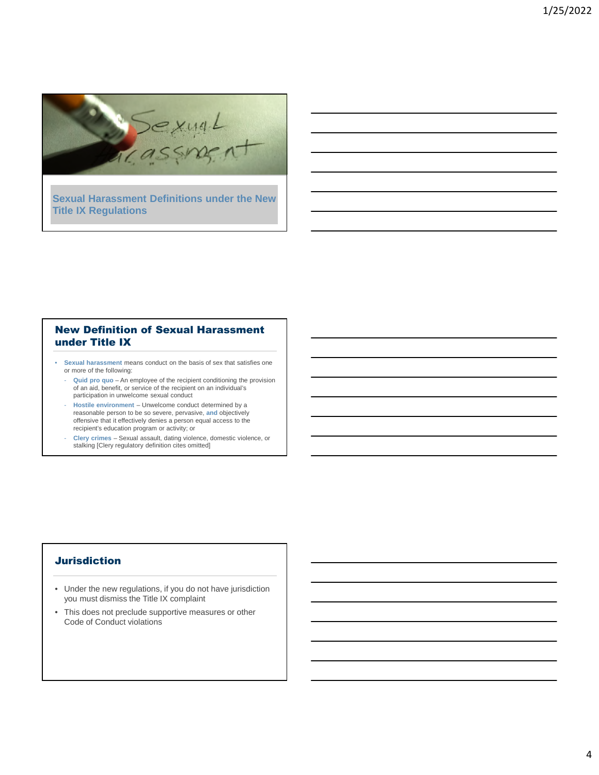

**Sexual Harassment Definitions under the New Title IX Regulations**

## New Definition of Sexual Harassment under Title IX

- **Sexual harassment** means conduct on the basis of sex that satisfies one or more of the following:
	- **Quid pro quo** An employee of the recipient conditioning the provision of an aid, benefit, or service of the recipient on an individual's participation in unwelcome sexual conduct
	- **Hostile environment** Unwelcome conduct determined by a reasonable person to be so severe, pervasive, **and** objectively offensive that it effectively denies a person equal access to the recipient's education program or activity; or
	- **Clery crimes** Sexual assault, dating violence, domestic violence, or stalking [Clery regulatory definition cites omitted]

### **Jurisdiction**

- Under the new regulations, if you do not have jurisdiction you must dismiss the Title IX complaint
- This does not preclude supportive measures or other Code of Conduct violations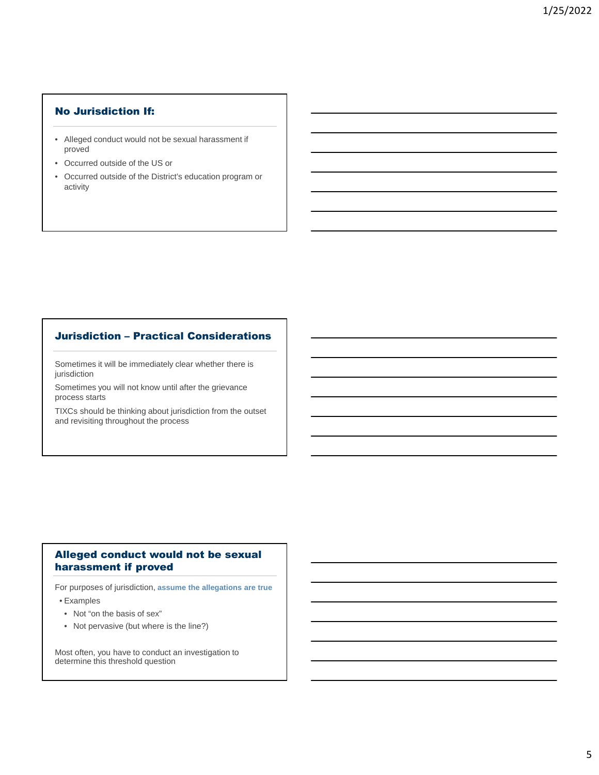# No Jurisdiction If:

- Alleged conduct would not be sexual harassment if proved
- Occurred outside of the US or
- Occurred outside of the District's education program or activity

# Jurisdiction – Practical Considerations

Sometimes it will be immediately clear whether there is jurisdiction

Sometimes you will not know until after the grievance process starts

TIXCs should be thinking about jurisdiction from the outset and revisiting throughout the process

# Alleged conduct would not be sexual harassment if proved

For purposes of jurisdiction, **assume the allegations are true**

• Examples

- Not "on the basis of sex"
- Not pervasive (but where is the line?)

Most often, you have to conduct an investigation to determine this threshold question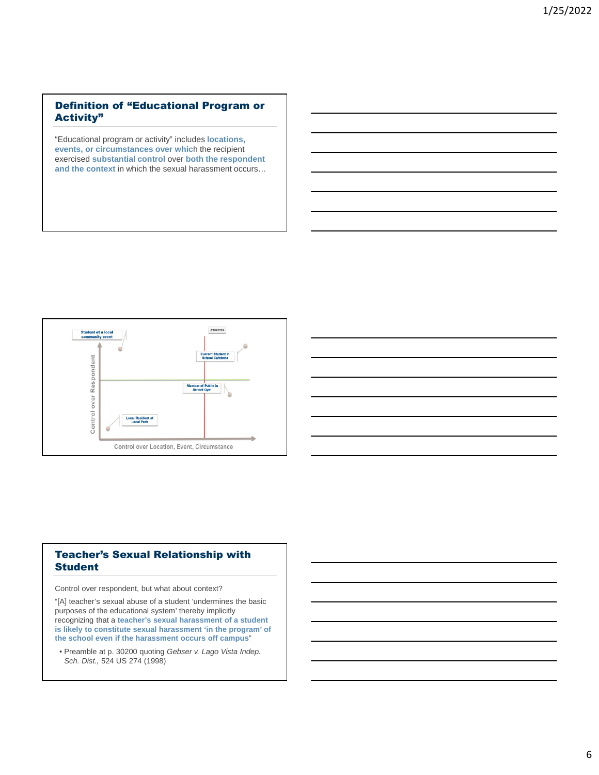# Definition of "Educational Program or Activity"

"Educational program or activity" includes **locations, events, or circumstances over whic**h the recipient exercised **substantial control** over **both the respondent and the context** in which the sexual harassment occurs…





Control over respondent, but what about context?

"[A] teacher's sexual abuse of a student 'undermines the basic purposes of the educational system' thereby implicitly recognizing that a **teacher's sexual harassment of a student is likely to constitute sexual harassment 'in the program' of the school even if the harassment occurs off campus**"

• Preamble at p. 30200 quoting *Gebser v. Lago Vista Indep. Sch. Dist.,* 524 US 274 (1998)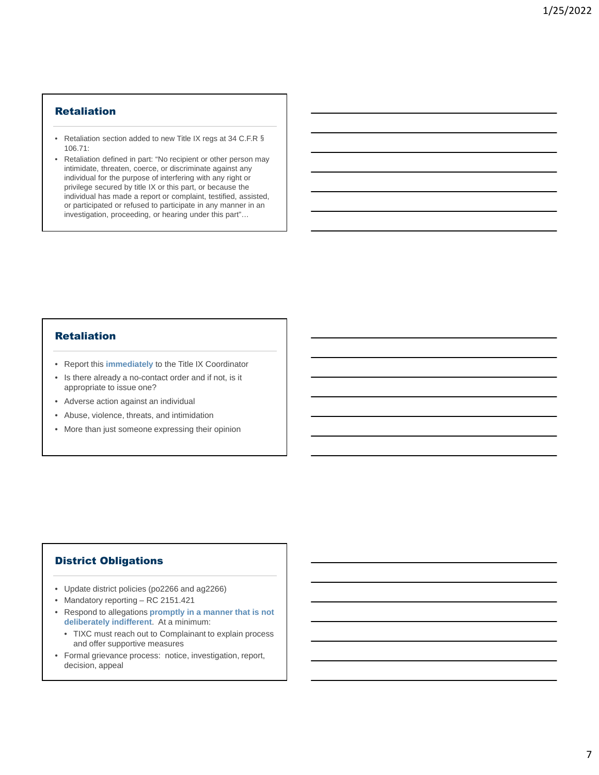## Retaliation

- Retaliation section added to new Title IX regs at 34 C.F.R § 106.71:
- Retaliation defined in part: "No recipient or other person may intimidate, threaten, coerce, or discriminate against any individual for the purpose of interfering with any right or privilege secured by title IX or this part, or because the individual has made a report or complaint, testified, assisted, or participated or refused to participate in any manner in an investigation, proceeding, or hearing under this part"…

### **Retaliation**

- Report this **immediately** to the Title IX Coordinator
- Is there already a no-contact order and if not, is it appropriate to issue one?
- Adverse action against an individual
- Abuse, violence, threats, and intimidation
- More than just someone expressing their opinion

### District Obligations

- Update district policies (po2266 and ag2266)
- Mandatory reporting RC 2151.421
- Respond to allegations **promptly in a manner that is not deliberately indifferent**. At a minimum:
	- TIXC must reach out to Complainant to explain process and offer supportive measures
- Formal grievance process: notice, investigation, report, decision, appeal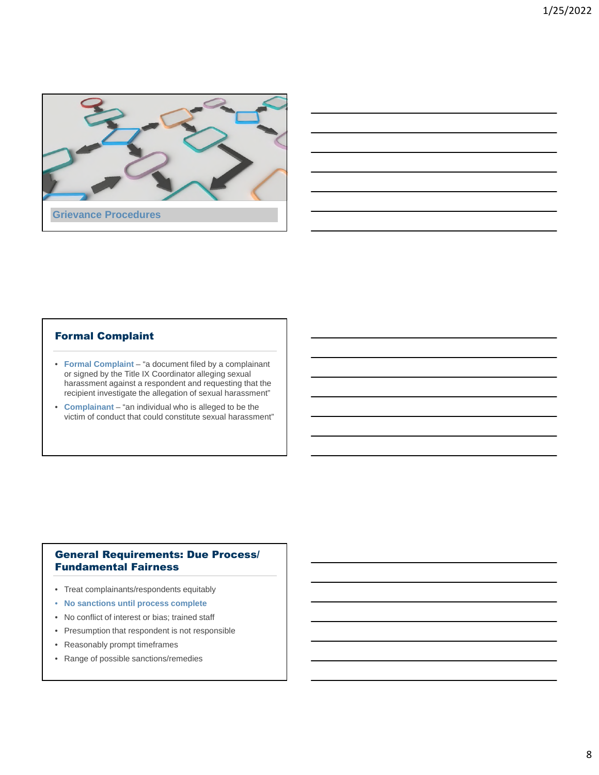

### Formal Complaint

- **Formal Complaint**  "a document filed by a complainant or signed by the Title IX Coordinator alleging sexual harassment against a respondent and requesting that the recipient investigate the allegation of sexual harassment"
- **Complainant** "an individual who is alleged to be the victim of conduct that could constitute sexual harassment"

# General Requirements: Due Process/ Fundamental Fairness

- Treat complainants/respondents equitably
- **No sanctions until process complete**
- No conflict of interest or bias; trained staff
- Presumption that respondent is not responsible
- Reasonably prompt timeframes
- Range of possible sanctions/remedies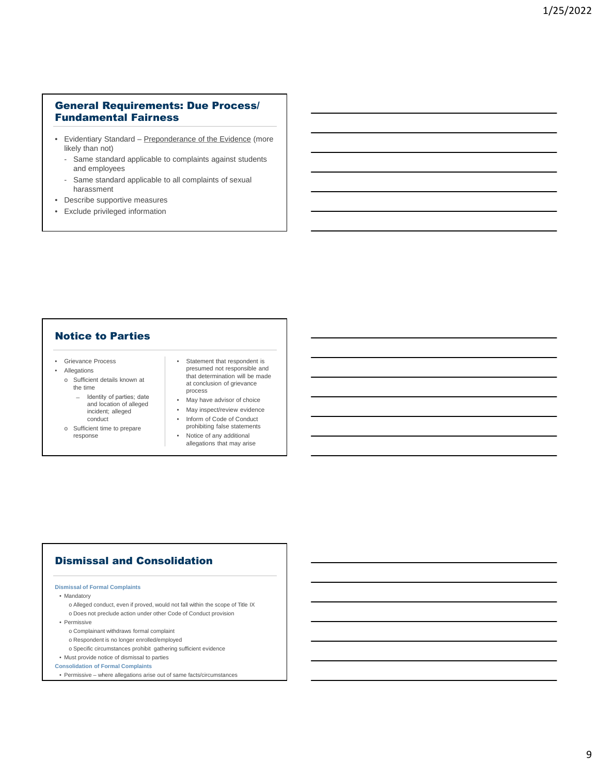### General Requirements: Due Process/ Fundamental Fairness

- Evidentiary Standard Preponderance of the Evidence (more likely than not)
	- Same standard applicable to complaints against students and employees
	- Same standard applicable to all complaints of sexual harassment
- Describe supportive measures
- Exclude privileged information

### Notice to Parties

- Grievance Process
- Allegations
	- o Sufficient details known at the time
		- ̶ Identity of parties; date and location of alleged incident; alleged conduct
	- o Sufficient time to prepare response
- Statement that respondent is presumed not responsible and that determination will be made at conclusion of grievance process
- May have advisor of choice
- May inspect/review evidence
- Inform of Code of Conduct prohibiting false statements
- Notice of any additional allegations that may arise

# Dismissal and Consolidation

#### **Dismissal of Formal Complaints**

#### • Mandatory

- o Alleged conduct, even if proved, would not fall within the scope of Title IX o Does not preclude action under other Code of Conduct provision
- Permissive
	- o Complainant withdraws formal complaint
	- o Respondent is no longer enrolled/employed
	- o Specific circumstances prohibit gathering sufficient evidence

# • Must provide notice of dismissal to parties

- **Consolidation of Formal Complaints**
- Permissive where allegations arise out of same facts/circumstances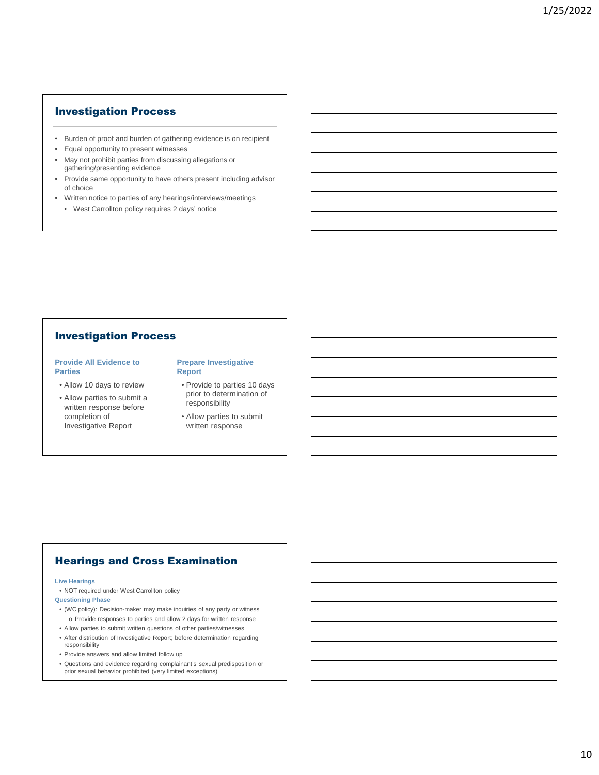### Investigation Process

- Burden of proof and burden of gathering evidence is on recipient
- Equal opportunity to present witnesses
- May not prohibit parties from discussing allegations or gathering/presenting evidence
- Provide same opportunity to have others present including advisor of choice
- Written notice to parties of any hearings/interviews/meetings
	- West Carrollton policy requires 2 days' notice

### Investigation Process

#### **Provide All Evidence to Parties**

- Allow 10 days to review
- Allow parties to submit a written response before completion of Investigative Report

#### **Prepare Investigative Report**

- Provide to parties 10 days prior to determination of responsibility
- Allow parties to submit written response

# Hearings and Cross Examination

#### **Live Hearings**

- NOT required under West Carrollton policy
- **Questioning Phase**
- (WC policy): Decision-maker may make inquiries of any party or witness o Provide responses to parties and allow 2 days for written response
- Allow parties to submit written questions of other parties/witnesses
- After distribution of Investigative Report; before determination regarding responsibility
- Provide answers and allow limited follow up
- Questions and evidence regarding complainant's sexual predisposition or prior sexual behavior prohibited (very limited exceptions)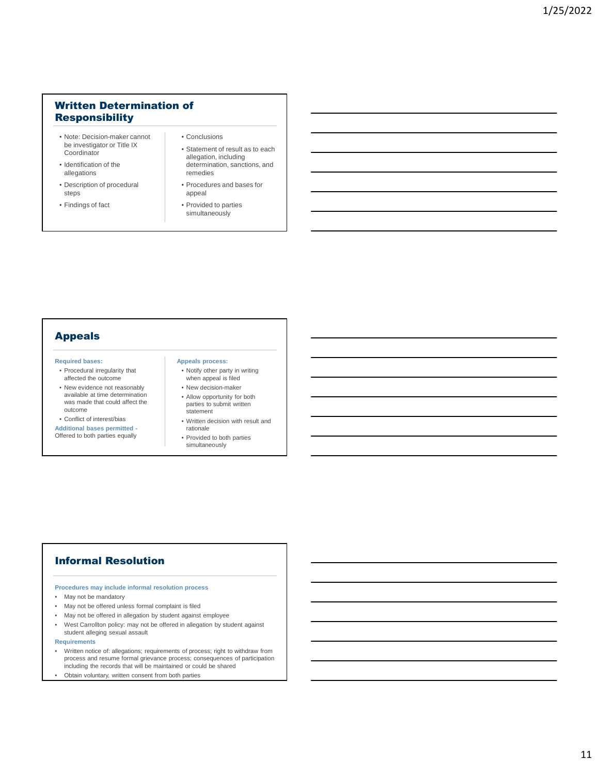# Written Determination of **Responsibility**

- Note: Decision-maker cannot be investigator or Title IX **Coordinator**
- Identification of the allegations
- Description of procedural steps
- Findings of fact
- Conclusions
- Statement of result as to each allegation, including determination, sanctions, and remedies
- Procedures and bases for appeal
- Provided to parties simultaneously

# Appeals

#### **Required bases:**

- Procedural irregularity that affected the outcome
- New evidence not reasonably available at time determination was made that could affect the outcome
- Conflict of interest/bias

**Additional bases permitted -** Offered to both parties equally

#### **Appeals process:**

- Notify other party in writing when appeal is filed
- New decision-maker • Allow opportunity for both parties to submit written
- statement • Written decision with result and
- rationale
- Provided to both parties simultaneously

# Informal Resolution

#### **Procedures may include informal resolution process**

- May not be mandatory
- May not be offered unless formal complaint is filed
- May not be offered in allegation by student against employee
- West Carrollton policy: may not be offered in allegation by student against student alleging sexual assault
- **Requirements**
- Written notice of: allegations; requirements of process; right to withdraw from process and resume formal grievance process; consequences of participation including the records that will be maintained or could be shared
- Obtain voluntary, written consent from both parties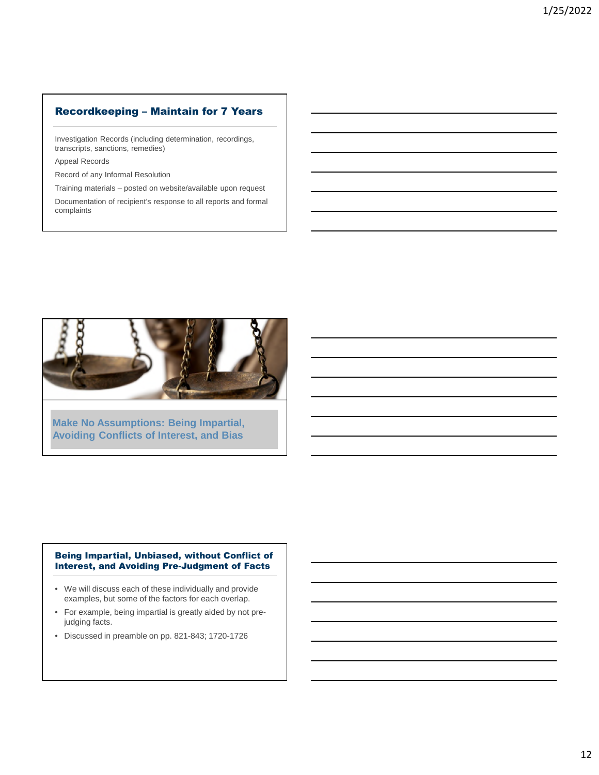# Recordkeeping – Maintain for 7 Years

Investigation Records (including determination, recordings, transcripts, sanctions, remedies)

Appeal Records

Record of any Informal Resolution

Training materials – posted on website/available upon request

Documentation of recipient's response to all reports and formal complaints



**Make No Assumptions: Being Impartial, Avoiding Conflicts of Interest, and Bias**

#### Being Impartial, Unbiased, without Conflict of Interest, and Avoiding Pre-Judgment of Facts

- We will discuss each of these individually and provide examples, but some of the factors for each overlap.
- For example, being impartial is greatly aided by not prejudging facts.
- Discussed in preamble on pp. 821-843; 1720-1726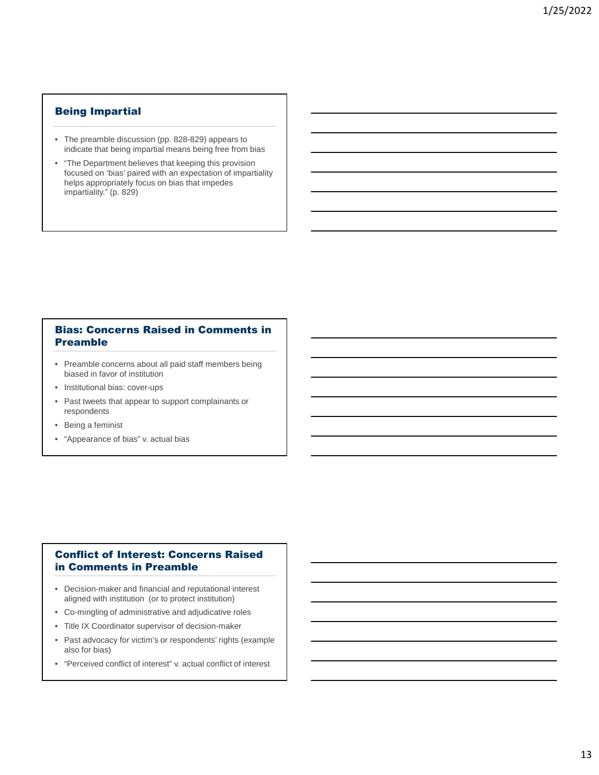## Being Impartial

- The preamble discussion (pp. 828-829) appears to indicate that being impartial means being free from bias
- "The Department believes that keeping this provision focused on 'bias' paired with an expectation of impartiality helps appropriately focus on bias that impedes impartiality." (p. 829)

### Bias: Concerns Raised in Comments in Preamble

- Preamble concerns about all paid staff members being biased in favor of institution
- Institutional bias: cover-ups
- Past tweets that appear to support complainants or respondents
- Being a feminist
- "Appearance of bias" v. actual bias

# Conflict of Interest: Concerns Raised in Comments in Preamble

- Decision-maker and financial and reputational interest aligned with institution (or to protect institution)
- Co-mingling of administrative and adjudicative roles
- Title IX Coordinator supervisor of decision-maker
- Past advocacy for victim's or respondents' rights (example also for bias)
- "Perceived conflict of interest" v. actual conflict of interest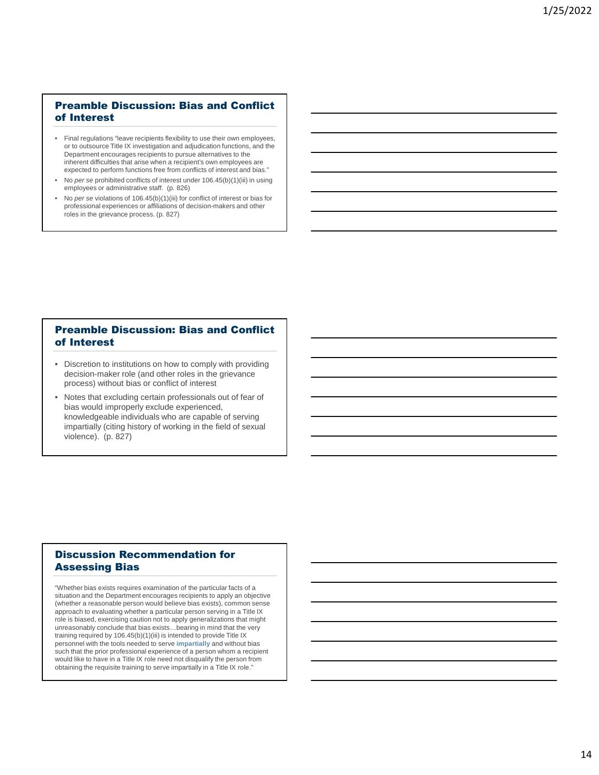# Preamble Discussion: Bias and Conflict of Interest

- Final regulations "leave recipients flexibility to use their own employees, or to outsource Title IX investigation and adjudication functions, and the Department encourages recipients to pursue alternatives to the inherent difficulties that arise when a recipient's own employees are expected to perform functions free from conflicts of interest and bias."
- No *per se* prohibited conflicts of interest under 106.45(b)(1)(iii) in using employees or administrative staff. (p. 826)
- No *per se* violations of 106.45(b)(1)(iii) for conflict of interest or bias for professional experiences or affiliations of decision-makers and other roles in the grievance process. (p. 827)

#### Preamble Discussion: Bias and Conflict of Interest

- Discretion to institutions on how to comply with providing decision-maker role (and other roles in the grievance process) without bias or conflict of interest
- Notes that excluding certain professionals out of fear of bias would improperly exclude experienced, knowledgeable individuals who are capable of serving impartially (citing history of working in the field of sexual violence). (p. 827)

### Discussion Recommendation for Assessing Bias

"Whether bias exists requires examination of the particular facts of a situation and the Department encourages recipients to apply an objective (whether a reasonable person would believe bias exists), common sense approach to evaluating whether a particular person serving in a Title IX role is biased, exercising caution not to apply generalizations that might unreasonably conclude that bias exists…bearing in mind that the very training required by 106.45(b)(1)(iii) is intended to provide Title IX personnel with the tools needed to serve **impartially** and without bias such that the prior professional experience of a person whom a recipient would like to have in a Title IX role need not disqualify the person from obtaining the requisite training to serve impartially in a Title IX role."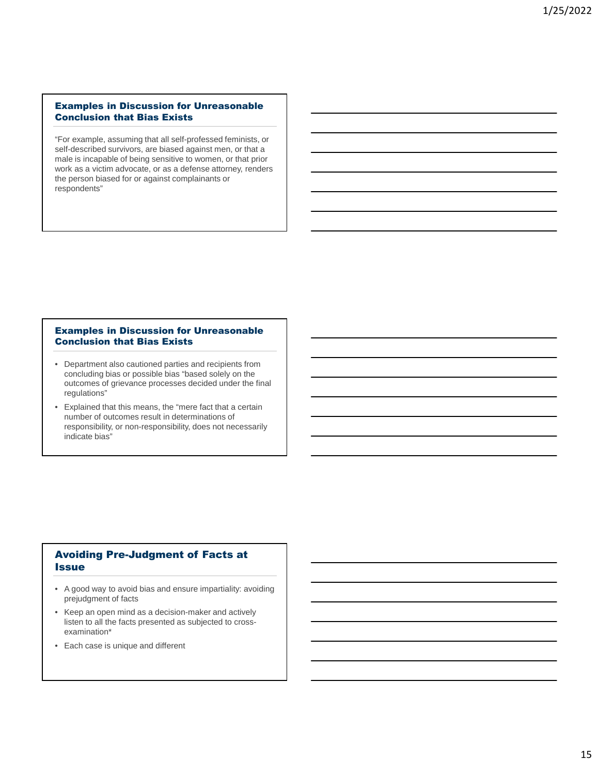#### Examples in Discussion for Unreasonable Conclusion that Bias Exists

"For example, assuming that all self-professed feminists, or self-described survivors, are biased against men, or that a male is incapable of being sensitive to women, or that prior work as a victim advocate, or as a defense attorney, renders the person biased for or against complainants or respondents"

#### Examples in Discussion for Unreasonable Conclusion that Bias Exists

- Department also cautioned parties and recipients from concluding bias or possible bias "based solely on the outcomes of grievance processes decided under the final regulations"
- Explained that this means, the "mere fact that a certain number of outcomes result in determinations of responsibility, or non-responsibility, does not necessarily indicate bias"

# Avoiding Pre-Judgment of Facts at **Issue**

- A good way to avoid bias and ensure impartiality: avoiding prejudgment of facts
- Keep an open mind as a decision-maker and actively listen to all the facts presented as subjected to crossexamination\*
- Each case is unique and different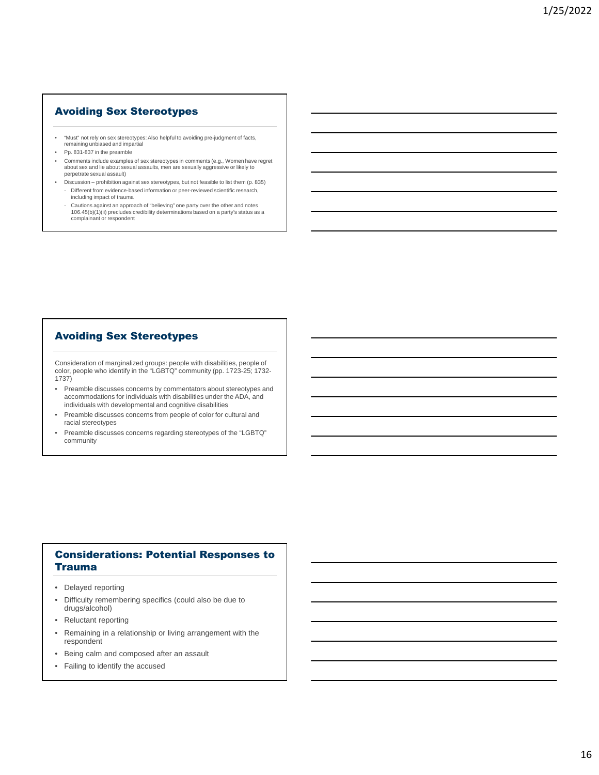### Avoiding Sex Stereotypes

- "Must" not rely on sex stereotypes: Also helpful to avoiding pre-judgment of facts, remaining unbiased and impartial
- Pp. 831-837 in the preamble
- Comments include examples of sex stereotypes in comments (e.g., Women have regret about sex and lie about sexual assaults, men are sexually aggressive or likely to perpetrate sexual assault)
- Discussion prohibition against sex stereotypes, but not feasible to list them (p. 835) Different from evidence-based information or peer-reviewed scientific research, including impact of trauma
	- Cautions against an approach of "believing" one party over the other and notes 106.45(b)(1)(ii) precludes credibility determinations based on a party's status as a complainant or respondent

### Avoiding Sex Stereotypes

Consideration of marginalized groups: people with disabilities, people of color, people who identify in the "LGBTQ" community (pp. 1723-25; 1732- 1737)

- Preamble discusses concerns by commentators about stereotypes and accommodations for individuals with disabilities under the ADA, and individuals with developmental and cognitive disabilities
- Preamble discusses concerns from people of color for cultural and racial stereotypes
- Preamble discusses concerns regarding stereotypes of the "LGBTQ" community

### Considerations: Potential Responses to Trauma

- Delayed reporting
- Difficulty remembering specifics (could also be due to drugs/alcohol)
- Reluctant reporting
- Remaining in a relationship or living arrangement with the respondent
- Being calm and composed after an assault
- Failing to identify the accused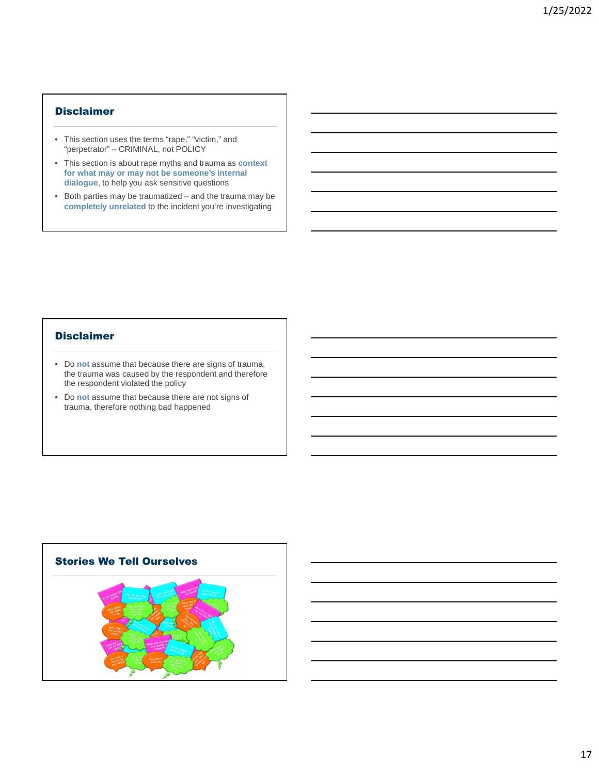# Disclaimer

- This section uses the terms "rape," "victim," and "perpetrator" – CRIMINAL, not POLICY
- This section is about rape myths and trauma as **context for what may or may not be someone's internal dialogue**, to help you ask sensitive questions
- Both parties may be traumatized and the trauma may be **completely unrelated** to the incident you're investigating

### Disclaimer

- Do **not** assume that because there are signs of trauma, the trauma was caused by the respondent and therefore the respondent violated the policy
- Do **not** assume that because there are not signs of trauma, therefore nothing bad happened

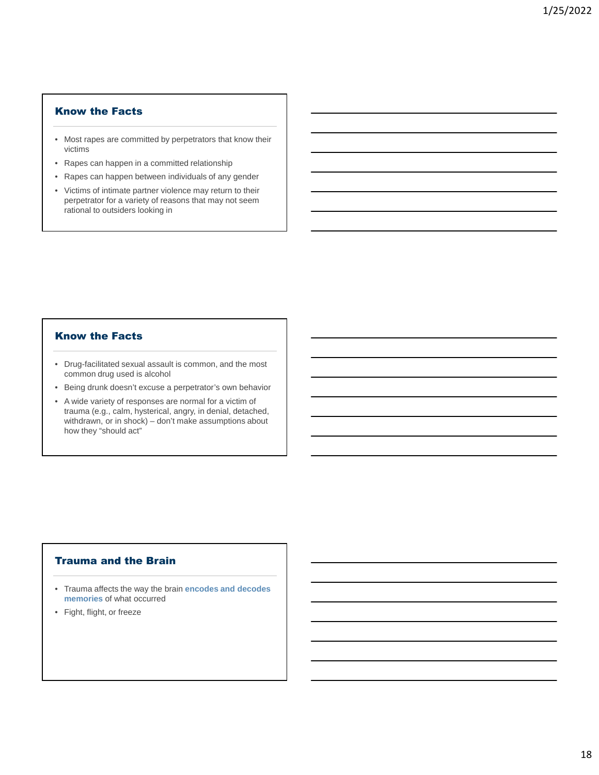### Know the Facts

- Most rapes are committed by perpetrators that know their victims
- Rapes can happen in a committed relationship
- Rapes can happen between individuals of any gender
- Victims of intimate partner violence may return to their perpetrator for a variety of reasons that may not seem rational to outsiders looking in

#### Know the Facts

- Drug-facilitated sexual assault is common, and the most common drug used is alcohol
- Being drunk doesn't excuse a perpetrator's own behavior
- A wide variety of responses are normal for a victim of trauma (e.g., calm, hysterical, angry, in denial, detached, withdrawn, or in shock) – don't make assumptions about how they "should act"

### Trauma and the Brain

- Trauma affects the way the brain **encodes and decodes memories** of what occurred
- Fight, flight, or freeze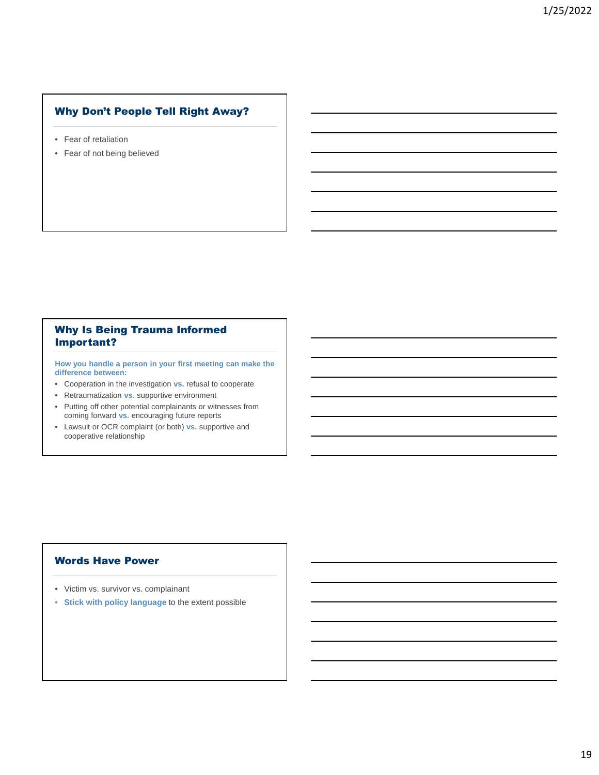# Why Don't People Tell Right Away?

- Fear of retaliation
- Fear of not being believed

# Why Is Being Trauma Informed Important?

**How you handle a person in your first meeting can make the difference between:**

- Cooperation in the investigation **vs.** refusal to cooperate
- Retraumatization **vs.** supportive environment
- Putting off other potential complainants or witnesses from coming forward **vs.** encouraging future reports
- Lawsuit or OCR complaint (or both) **vs.** supportive and cooperative relationship

# Words Have Power

- Victim vs. survivor vs. complainant
- **Stick with policy language** to the extent possible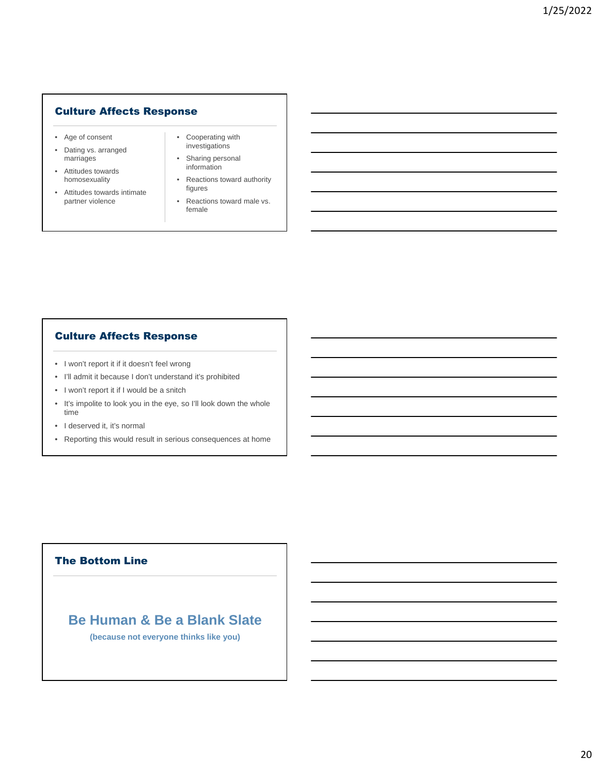# Culture Affects Response

- Age of consent
- Dating vs. arranged marriages
- Attitudes towards homosexuality
- Attitudes towards intimate partner violence
- Cooperating with investigations
- Sharing personal information
- Reactions toward authority figures
- Reactions toward male vs. female

# Culture Affects Response

- I won't report it if it doesn't feel wrong
- I'll admit it because I don't understand it's prohibited
- I won't report it if I would be a snitch
- It's impolite to look you in the eye, so I'll look down the whole time
- I deserved it, it's normal
- Reporting this would result in serious consequences at home

# The Bottom Line

# **Be Human & Be a Blank Slate**

**(because not everyone thinks like you)**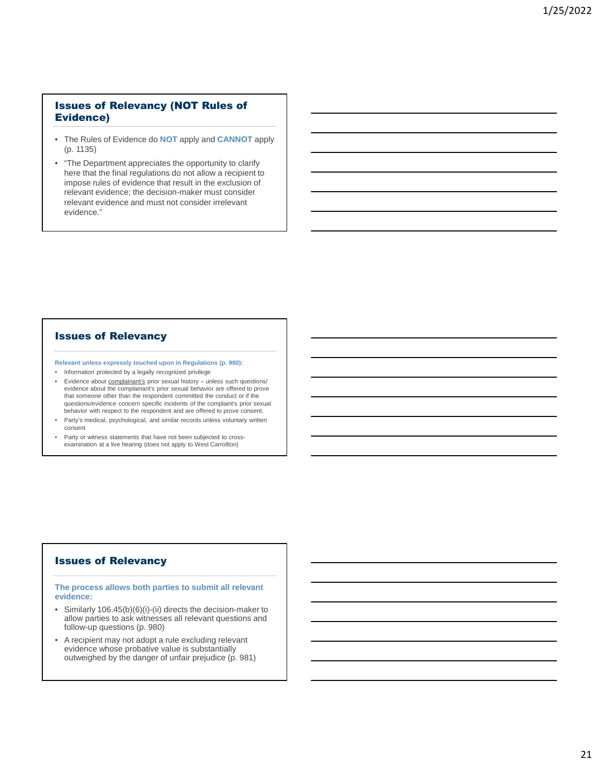# Issues of Relevancy (NOT Rules of Evidence)

- The Rules of Evidence do **NOT** apply and **CANNOT** apply (p. 1135)
- "The Department appreciates the opportunity to clarify here that the final regulations do not allow a recipient to impose rules of evidence that result in the exclusion of relevant evidence; the decision-maker must consider relevant evidence and must not consider irrelevant evidence."

#### Issues of Relevancy

**Relevant unless expressly touched upon in Regulations (p. 980):** 

- Information protected by a legally recognized privilege
- Evidence about **complainant's** prior sexual history unless such questions/ evidence about the complainant's prior sexual behavior are offered to prove that someone other than the respondent committed the conduct or if the questions/evidence concern specific incidents of the complaint's prior sexual behavior with respect to the respondent and are offered to prove consent.
- Party's medical, psychological, and similar records unless voluntary written consent
- Party or witness statements that have not been subjected to crossexamination at a live hearing (does not apply to West Carrollton)

#### Issues of Relevancy

**The process allows both parties to submit all relevant evidence:**

- Similarly 106.45(b)(6)(i)-(ii) directs the decision-maker to allow parties to ask witnesses all relevant questions and follow-up questions (p. 980)
- A recipient may not adopt a rule excluding relevant evidence whose probative value is substantially outweighed by the danger of unfair prejudice (p. 981)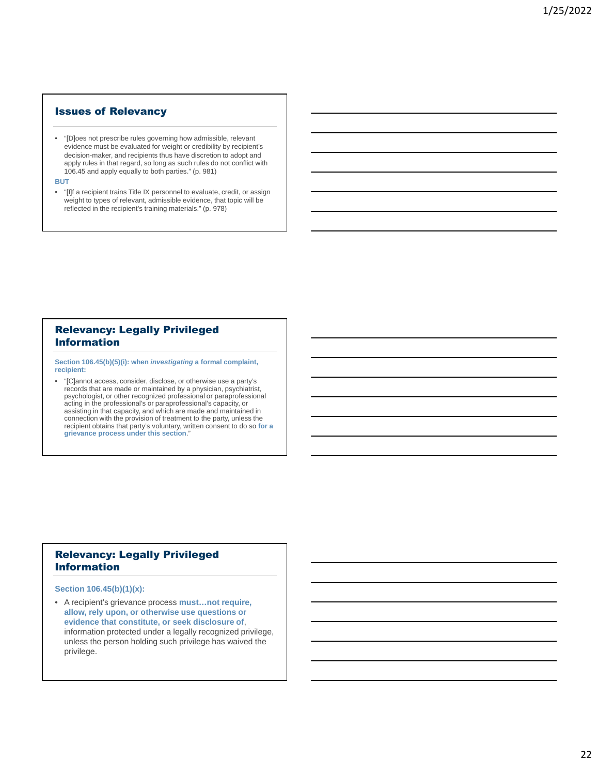#### Issues of Relevancy

• "[D]oes not prescribe rules governing how admissible, relevant evidence must be evaluated for weight or credibility by recipient's decision-maker, and recipients thus have discretion to adopt and apply rules in that regard, so long as such rules do not conflict with 106.45 and apply equally to both parties." (p. 981)

**BUT**

• "[I]f a recipient trains Title IX personnel to evaluate, credit, or assign weight to types of relevant, admissible evidence, that topic will be reflected in the recipient's training materials." (p. 978)

#### Relevancy: Legally Privileged Information

**Section 106.45(b)(5)(i): when** *investigating* **a formal complaint, recipient:**

• "[C]annot access, consider, disclose, or otherwise use a party's records that are made or maintained by a physician, psychiatrist, psychologist, or other recognized professional or paraprofessional acting in the professional's or paraprofessional's capacity, or assisting in that capacity, and which are made and maintained in connection with the provision of treatment to the party, unless the recipient obtains that party's voluntary, written consent to do so **for a grievance process under this section**."

# Relevancy: Legally Privileged Information

**Section 106.45(b)(1)(x):**

• A recipient's grievance process **must…not require, allow, rely upon, or otherwise use questions or evidence that constitute, or seek disclosure of**, information protected under a legally recognized privilege, unless the person holding such privilege has waived the privilege.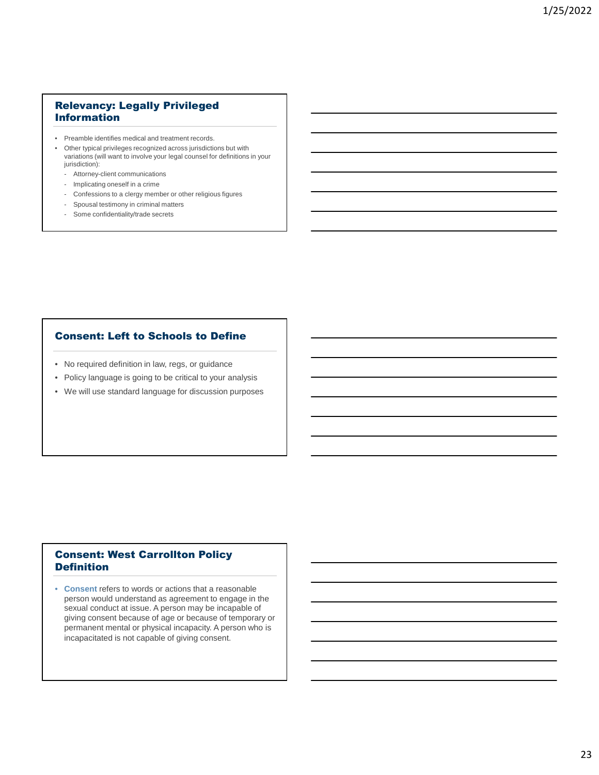# Relevancy: Legally Privileged Information

- Preamble identifies medical and treatment records.
- Other typical privileges recognized across jurisdictions but with variations (will want to involve your legal counsel for definitions in your jurisdiction):
	- Attorney-client communications
	- Implicating oneself in a crime
	- Confessions to a clergy member or other religious figures
	- Spousal testimony in criminal matters
	- Some confidentiality/trade secrets

# Consent: Left to Schools to Define

- No required definition in law, regs, or guidance
- Policy language is going to be critical to your analysis
- We will use standard language for discussion purposes

# Consent: West Carrollton Policy Definition

• **Consent** refers to words or actions that a reasonable person would understand as agreement to engage in the sexual conduct at issue. A person may be incapable of giving consent because of age or because of temporary or permanent mental or physical incapacity. A person who is incapacitated is not capable of giving consent.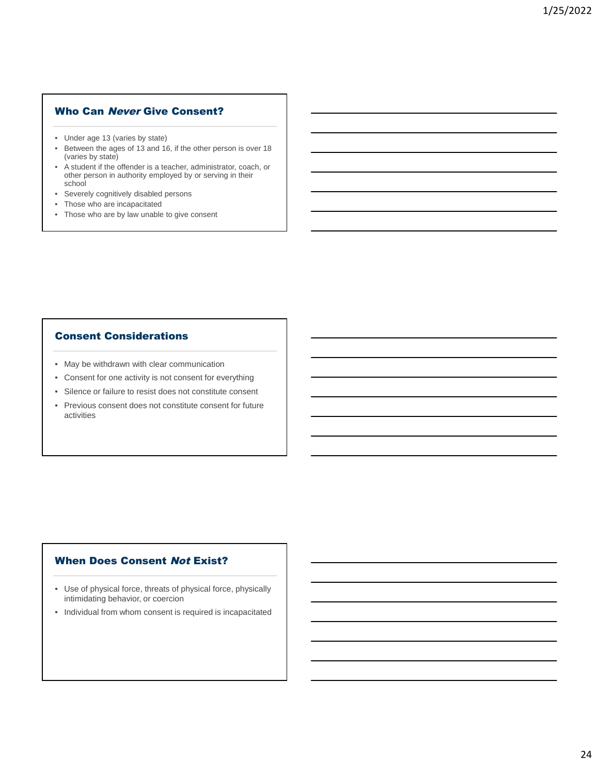# Who Can Never Give Consent?

- Under age 13 (varies by state)
- Between the ages of 13 and 16, if the other person is over 18 (varies by state)
- A student if the offender is a teacher, administrator, coach, or other person in authority employed by or serving in their school
- Severely cognitively disabled persons
- Those who are incapacitated
- Those who are by law unable to give consent

# Consent Considerations

- May be withdrawn with clear communication
- Consent for one activity is not consent for everything
- Silence or failure to resist does not constitute consent
- Previous consent does not constitute consent for future activities

### When Does Consent Not Exist?

- Use of physical force, threats of physical force, physically intimidating behavior, or coercion
- Individual from whom consent is required is incapacitated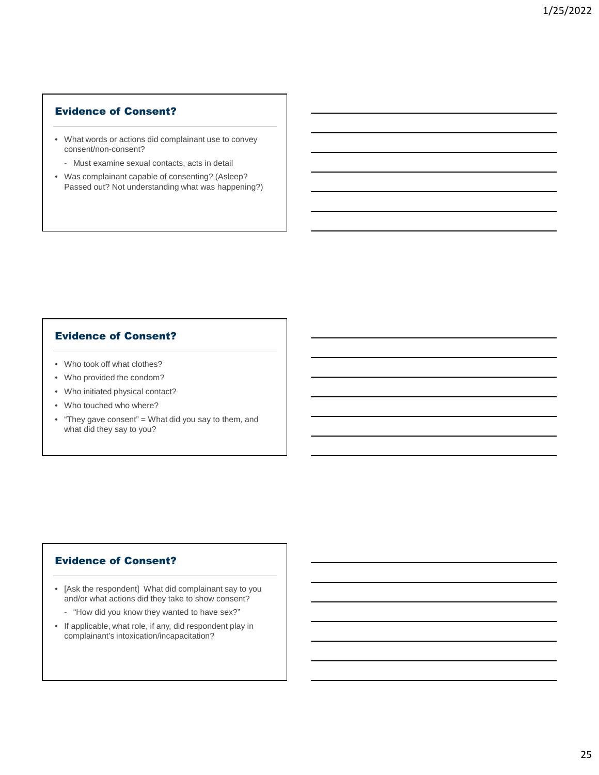# Evidence of Consent?

- What words or actions did complainant use to convey consent/non-consent?
	- Must examine sexual contacts, acts in detail
- Was complainant capable of consenting? (Asleep? Passed out? Not understanding what was happening?)

# Evidence of Consent?

- Who took off what clothes?
- Who provided the condom?
- Who initiated physical contact?
- Who touched who where?
- "They gave consent" = What did you say to them, and what did they say to you?

### Evidence of Consent?

- [Ask the respondent] What did complainant say to you and/or what actions did they take to show consent?
	- "How did you know they wanted to have sex?"
- If applicable, what role, if any, did respondent play in complainant's intoxication/incapacitation?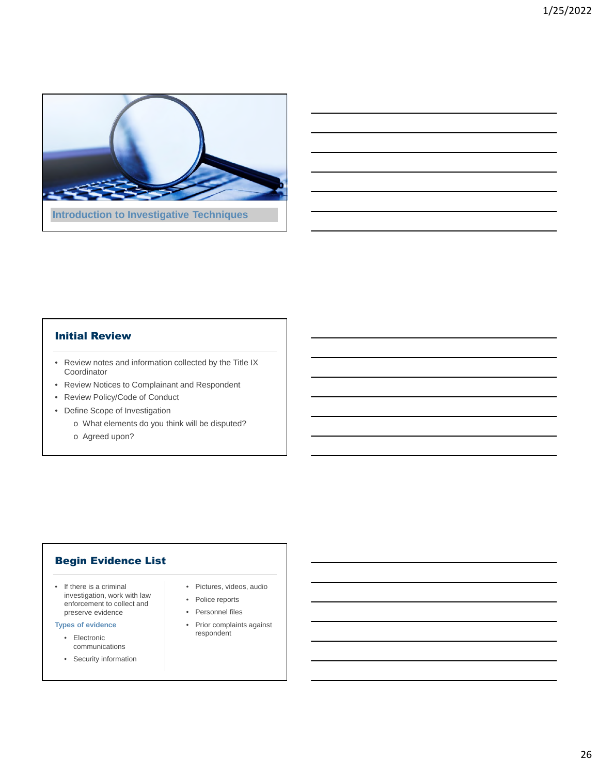

### Initial Review

- Review notes and information collected by the Title IX Coordinator
- Review Notices to Complainant and Respondent
- Review Policy/Code of Conduct
- Define Scope of Investigation
	- o What elements do you think will be disputed?
	- o Agreed upon?

# Begin Evidence List

• If there is a criminal investigation, work with law enforcement to collect and preserve evidence

#### **Types of evidence**

- Electronic communications
- Security information
- Pictures, videos, audio
- Police reports
- Personnel files
- Prior complaints against respondent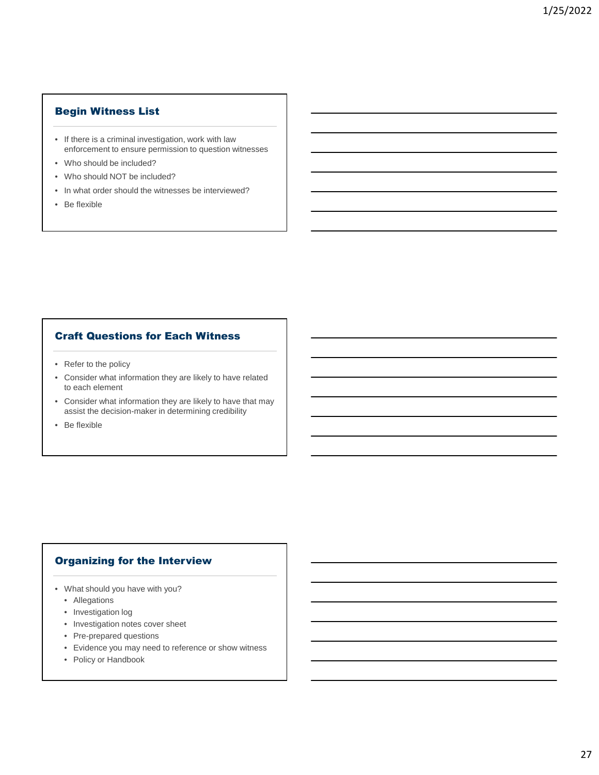# Begin Witness List

- If there is a criminal investigation, work with law enforcement to ensure permission to question witnesses
- Who should be included?
- Who should NOT be included?
- In what order should the witnesses be interviewed?
- Be flexible

# Craft Questions for Each Witness

- Refer to the policy
- Consider what information they are likely to have related to each element
- Consider what information they are likely to have that may assist the decision-maker in determining credibility
- Be flexible

# Organizing for the Interview

- What should you have with you?
	- Allegations
	- Investigation log
	- Investigation notes cover sheet
	- Pre-prepared questions
	- Evidence you may need to reference or show witness
	- Policy or Handbook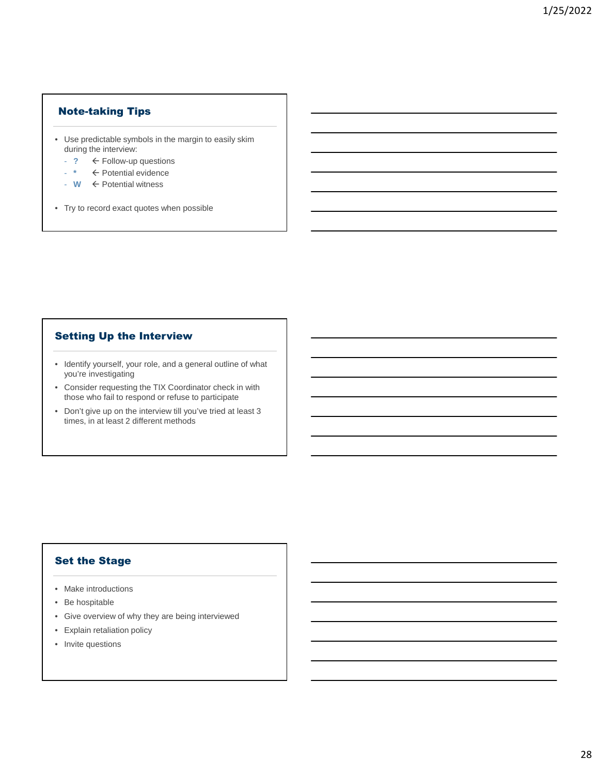# Note-taking Tips

- Use predictable symbols in the margin to easily skim during the interview:
	- **?** Follow-up questions
	- **\*** Potential evidence
	- **W** Potential witness
- Try to record exact quotes when possible

# Setting Up the Interview

- Identify yourself, your role, and a general outline of what you're investigating
- Consider requesting the TIX Coordinator check in with those who fail to respond or refuse to participate
- Don't give up on the interview till you've tried at least 3 times, in at least 2 different methods

# Set the Stage

- Make introductions
- Be hospitable
- Give overview of why they are being interviewed
- Explain retaliation policy
- Invite questions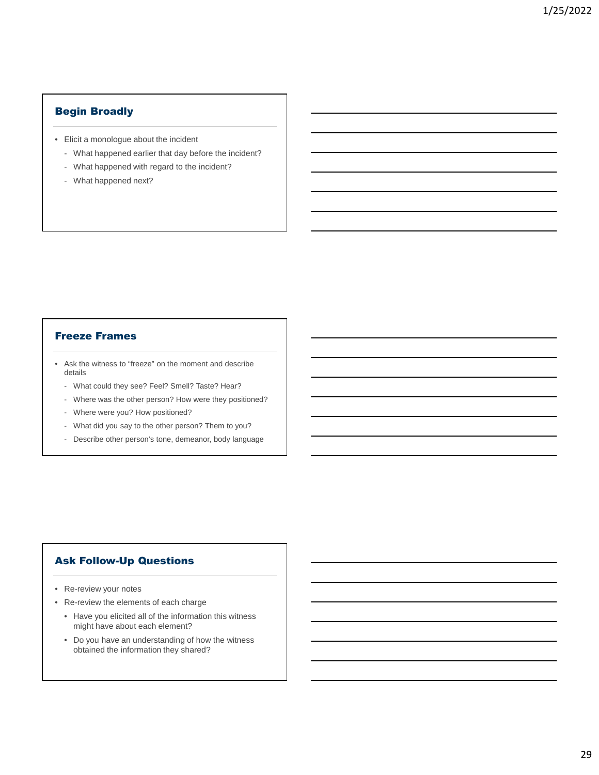# Begin Broadly

- Elicit a monologue about the incident
	- What happened earlier that day before the incident?
	- What happened with regard to the incident?
	- What happened next?

### Freeze Frames

- Ask the witness to "freeze" on the moment and describe details
	- What could they see? Feel? Smell? Taste? Hear?
	- Where was the other person? How were they positioned?
	- Where were you? How positioned?
	- What did you say to the other person? Them to you?
	- Describe other person's tone, demeanor, body language

# Ask Follow-Up Questions

- Re-review your notes
- Re-review the elements of each charge
	- Have you elicited all of the information this witness might have about each element?
	- Do you have an understanding of how the witness obtained the information they shared?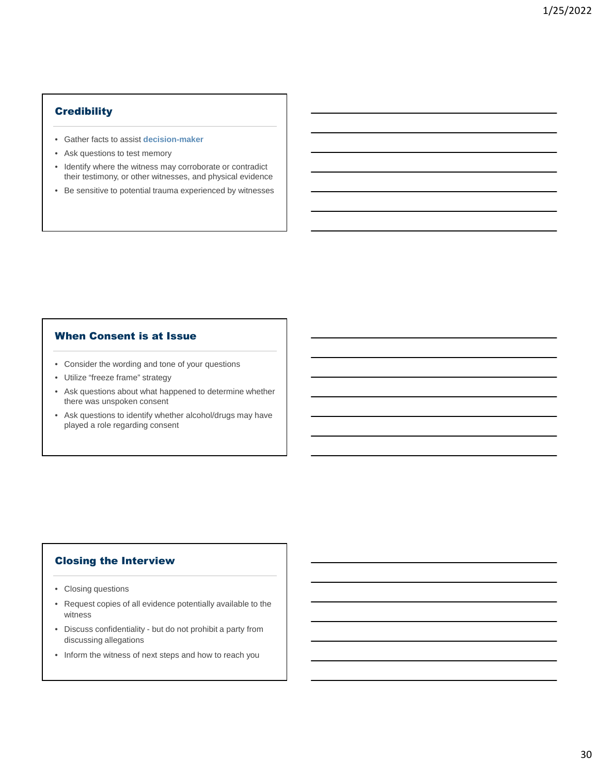# **Credibility**

- Gather facts to assist **decision-maker**
- Ask questions to test memory
- Identify where the witness may corroborate or contradict their testimony, or other witnesses, and physical evidence
- Be sensitive to potential trauma experienced by witnesses

#### When Consent is at Issue

- Consider the wording and tone of your questions
- Utilize "freeze frame" strategy
- Ask questions about what happened to determine whether there was unspoken consent
- Ask questions to identify whether alcohol/drugs may have played a role regarding consent

# Closing the Interview

- Closing questions
- Request copies of all evidence potentially available to the witness
- Discuss confidentiality but do not prohibit a party from discussing allegations
- Inform the witness of next steps and how to reach you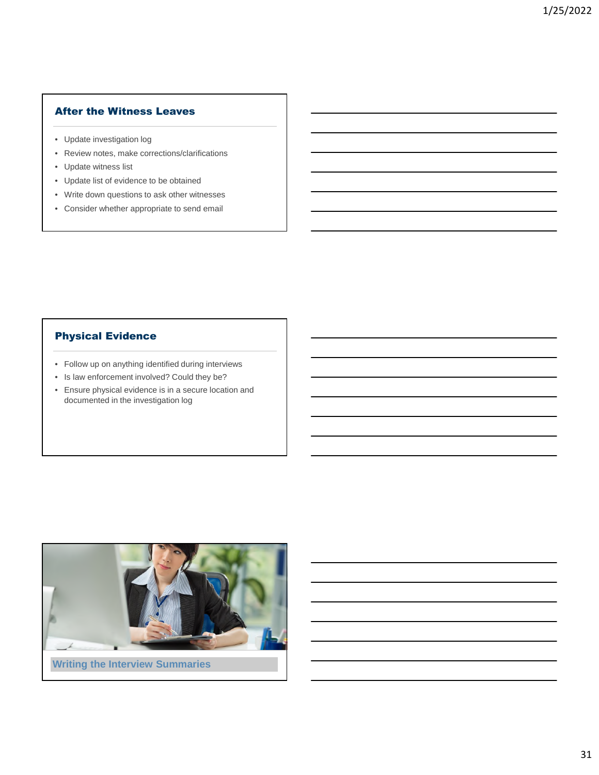# After the Witness Leaves

- Update investigation log
- Review notes, make corrections/clarifications
- Update witness list
- Update list of evidence to be obtained
- Write down questions to ask other witnesses
- Consider whether appropriate to send email

# Physical Evidence

- Follow up on anything identified during interviews
- Is law enforcement involved? Could they be?
- Ensure physical evidence is in a secure location and documented in the investigation log

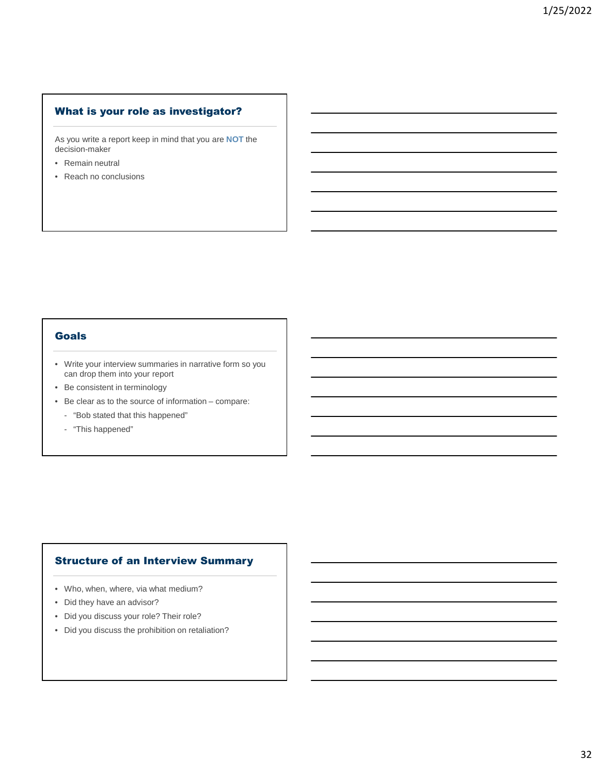# What is your role as investigator?

As you write a report keep in mind that you are **NOT** the decision-maker

- Remain neutral
- Reach no conclusions

# Goals

- Write your interview summaries in narrative form so you can drop them into your report
- Be consistent in terminology
- Be clear as to the source of information compare:
- "Bob stated that this happened"
- "This happened"

### Structure of an Interview Summary

- Who, when, where, via what medium?
- Did they have an advisor?
- Did you discuss your role? Their role?
- Did you discuss the prohibition on retaliation?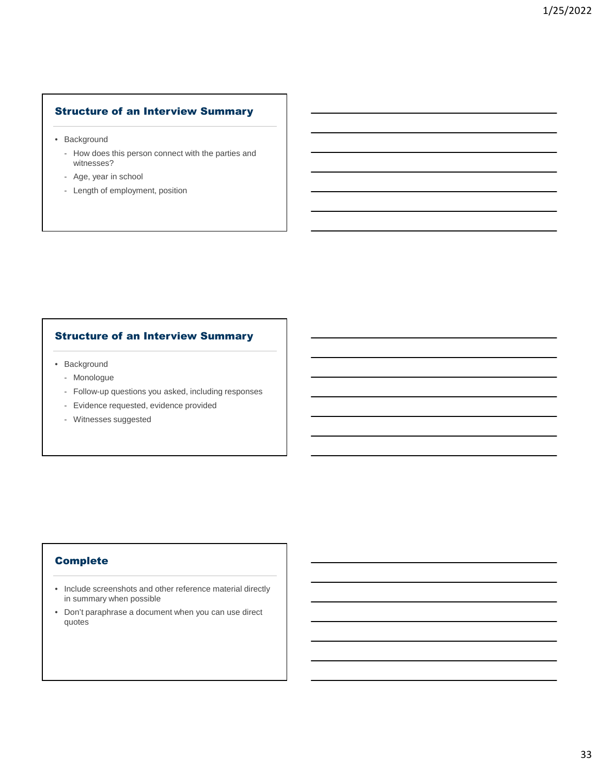# Structure of an Interview Summary

- Background
	- How does this person connect with the parties and witnesses?
	- Age, year in school
	- Length of employment, position

# Structure of an Interview Summary

- Background
	- Monologue
	- Follow-up questions you asked, including responses
	- Evidence requested, evidence provided
	- Witnesses suggested

# Complete

- Include screenshots and other reference material directly in summary when possible
- Don't paraphrase a document when you can use direct quotes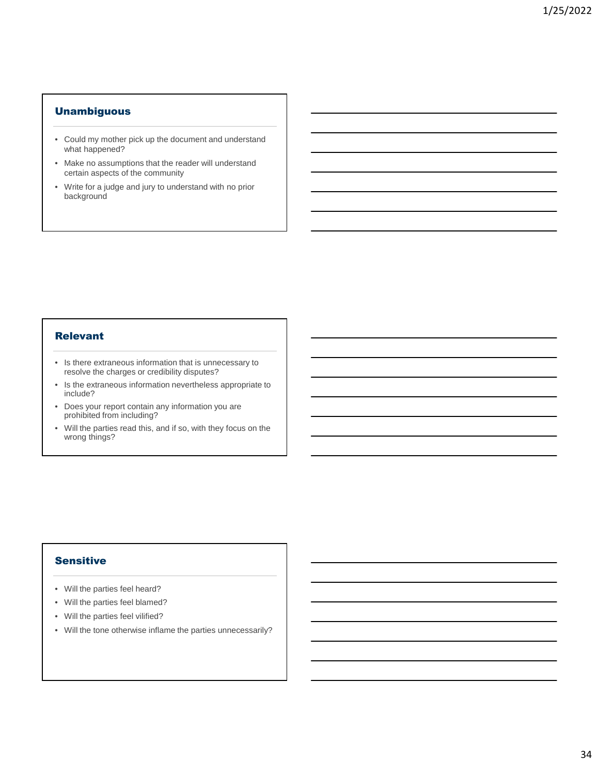### **Unambiguous**

- Could my mother pick up the document and understand what happened?
- Make no assumptions that the reader will understand certain aspects of the community
- Write for a judge and jury to understand with no prior background

#### Relevant

- Is there extraneous information that is unnecessary to resolve the charges or credibility disputes?
- Is the extraneous information nevertheless appropriate to include?
- Does your report contain any information you are prohibited from including?
- Will the parties read this, and if so, with they focus on the wrong things?

# Sensitive

- Will the parties feel heard?
- Will the parties feel blamed?
- Will the parties feel vilified?
- Will the tone otherwise inflame the parties unnecessarily?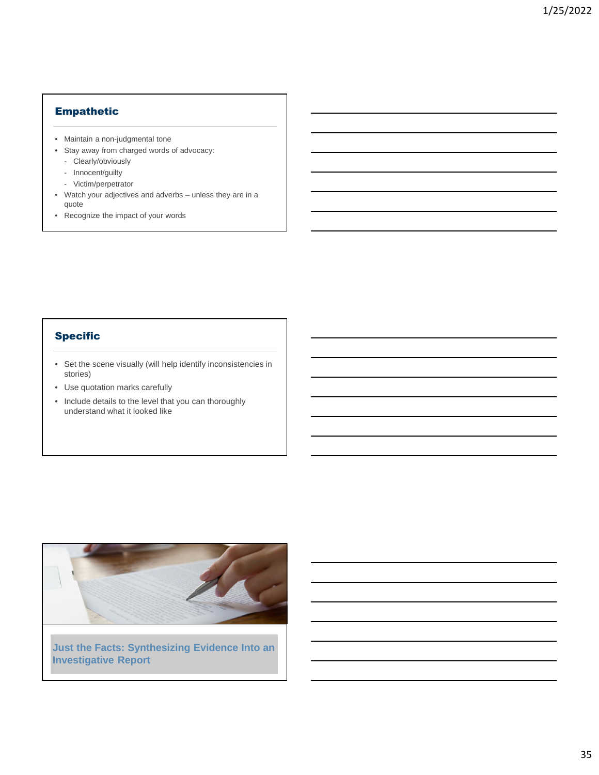# Empathetic

- Maintain a non-judgmental tone
- Stay away from charged words of advocacy:
	- Clearly/obviously
	- Innocent/guilty
	- Victim/perpetrator
- Watch your adjectives and adverbs unless they are in a quote
- Recognize the impact of your words

# Specific

- Set the scene visually (will help identify inconsistencies in stories)
- Use quotation marks carefully
- Include details to the level that you can thoroughly understand what it looked like



**Just the Facts: Synthesizing Evidence Into an Investigative Report**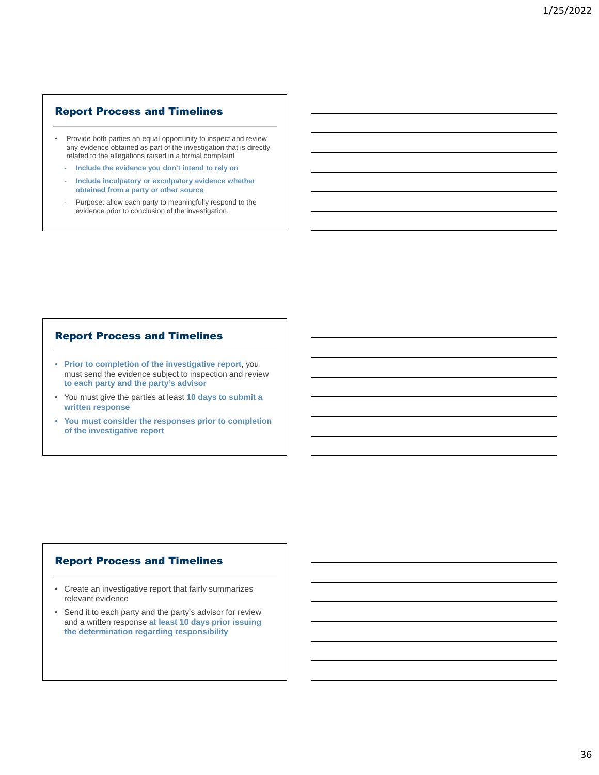## Report Process and Timelines

- Provide both parties an equal opportunity to inspect and review any evidence obtained as part of the investigation that is directly related to the allegations raised in a formal complaint
	- **Include the evidence you don't intend to rely on**
	- **Include inculpatory or exculpatory evidence whether obtained from a party or other source**
	- Purpose: allow each party to meaningfully respond to the evidence prior to conclusion of the investigation.

### Report Process and Timelines

- **Prior to completion of the investigative report**, you must send the evidence subject to inspection and review **to each party and the party's advisor**
- You must give the parties at least **10 days to submit a written response**
- **You must consider the responses prior to completion of the investigative report**

#### Report Process and Timelines

- Create an investigative report that fairly summarizes relevant evidence
- Send it to each party and the party's advisor for review and a written response **at least 10 days prior issuing the determination regarding responsibility**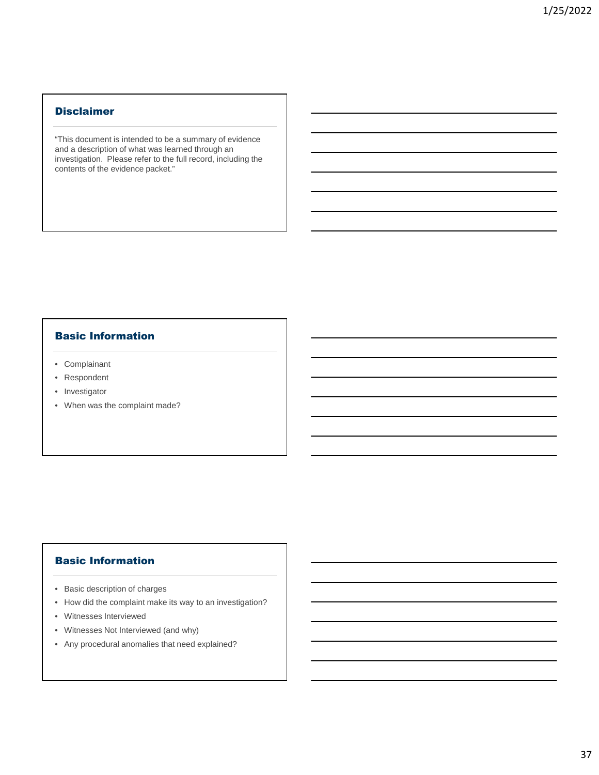### **Disclaimer**

"This document is intended to be a summary of evidence and a description of what was learned through an investigation. Please refer to the full record, including the contents of the evidence packet."

### Basic Information

- Complainant
- Respondent
- Investigator
- When was the complaint made?

# Basic Information

- Basic description of charges
- How did the complaint make its way to an investigation?
- Witnesses Interviewed
- Witnesses Not Interviewed (and why)
- Any procedural anomalies that need explained?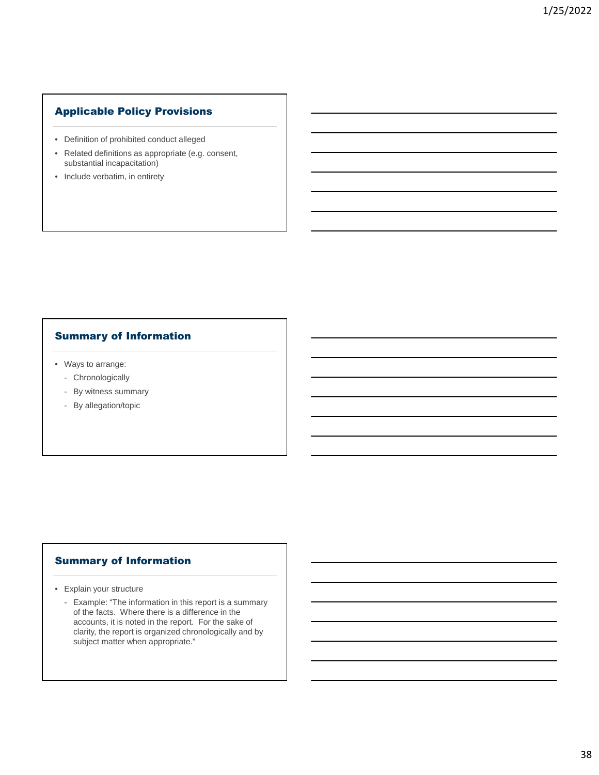# Applicable Policy Provisions

- Definition of prohibited conduct alleged
- Related definitions as appropriate (e.g. consent, substantial incapacitation)
- Include verbatim, in entirety

# Summary of Information

- Ways to arrange:
	- Chronologically
	- By witness summary
	- By allegation/topic

### Summary of Information

- Explain your structure
	- Example: "The information in this report is a summary of the facts. Where there is a difference in the accounts, it is noted in the report. For the sake of clarity, the report is organized chronologically and by subject matter when appropriate."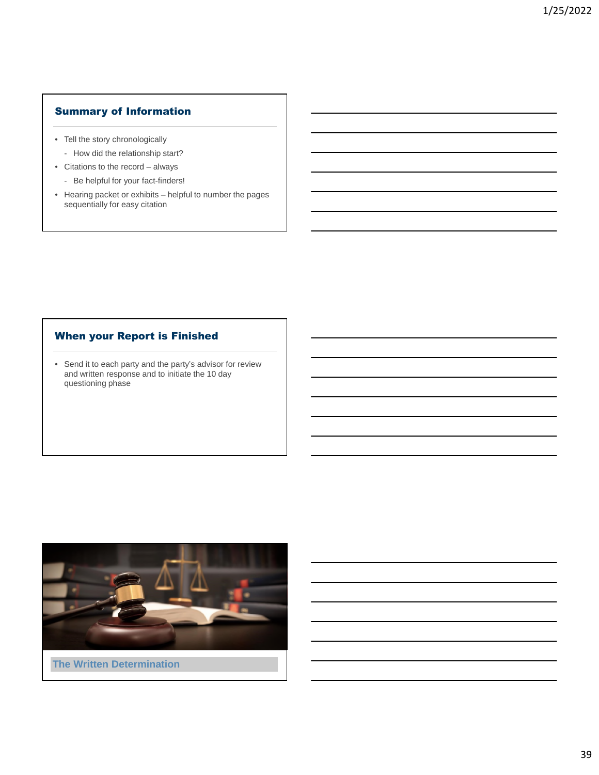# Summary of Information

- Tell the story chronologically
	- How did the relationship start?
- Citations to the record always
	- Be helpful for your fact-finders!
- Hearing packet or exhibits helpful to number the pages sequentially for easy citation

# When your Report is Finished

• Send it to each party and the party's advisor for review and written response and to initiate the 10 day questioning phase

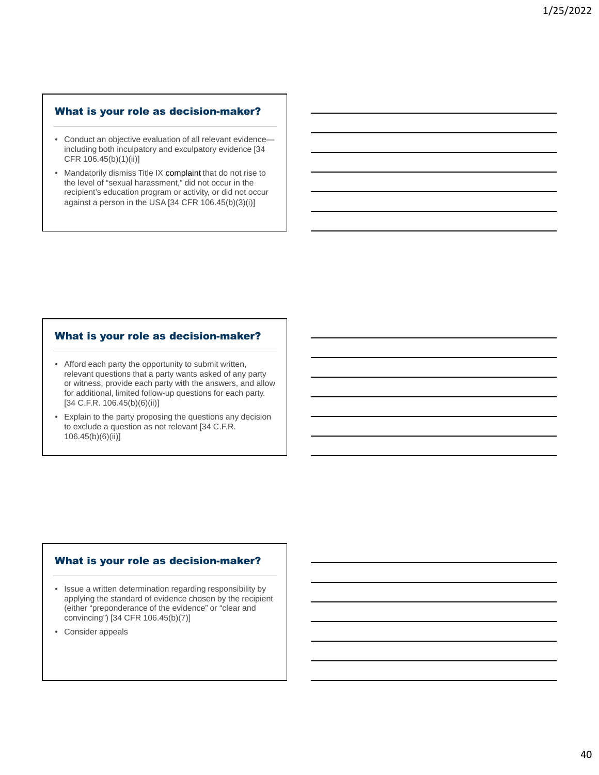## What is your role as decision-maker?

- Conduct an objective evaluation of all relevant evidence including both inculpatory and exculpatory evidence [34 CFR 106.45(b)(1)(ii)]
- Mandatorily dismiss Title IX complaint that do not rise to the level of "sexual harassment," did not occur in the recipient's education program or activity, or did not occur against a person in the USA [34 CFR 106.45(b)(3)(i)]

#### What is your role as decision-maker?

- Afford each party the opportunity to submit written, relevant questions that a party wants asked of any party or witness, provide each party with the answers, and allow for additional, limited follow-up questions for each party. [34 C.F.R. 106.45(b)(6)(ii)]
- Explain to the party proposing the questions any decision to exclude a question as not relevant [34 C.F.R. 106.45(b)(6)(ii)]

#### What is your role as decision-maker?

- Issue a written determination regarding responsibility by applying the standard of evidence chosen by the recipient (either "preponderance of the evidence" or "clear and convincing") [34 CFR 106.45(b)(7)]
- Consider appeals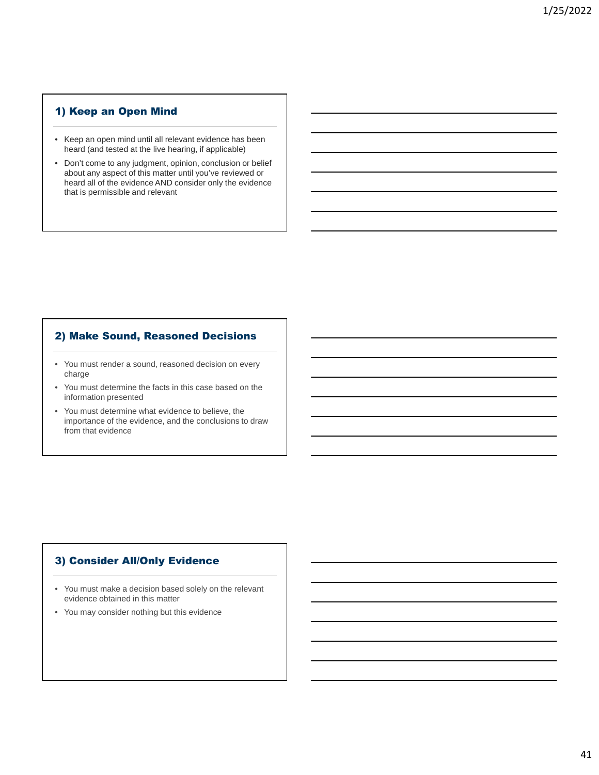# 1) Keep an Open Mind

- Keep an open mind until all relevant evidence has been heard (and tested at the live hearing, if applicable)
- Don't come to any judgment, opinion, conclusion or belief about any aspect of this matter until you've reviewed or heard all of the evidence AND consider only the evidence that is permissible and relevant

# 2) Make Sound, Reasoned Decisions

- You must render a sound, reasoned decision on every charge
- You must determine the facts in this case based on the information presented
- You must determine what evidence to believe, the importance of the evidence, and the conclusions to draw from that evidence

# 3) Consider All/Only Evidence

- You must make a decision based solely on the relevant evidence obtained in this matter
- You may consider nothing but this evidence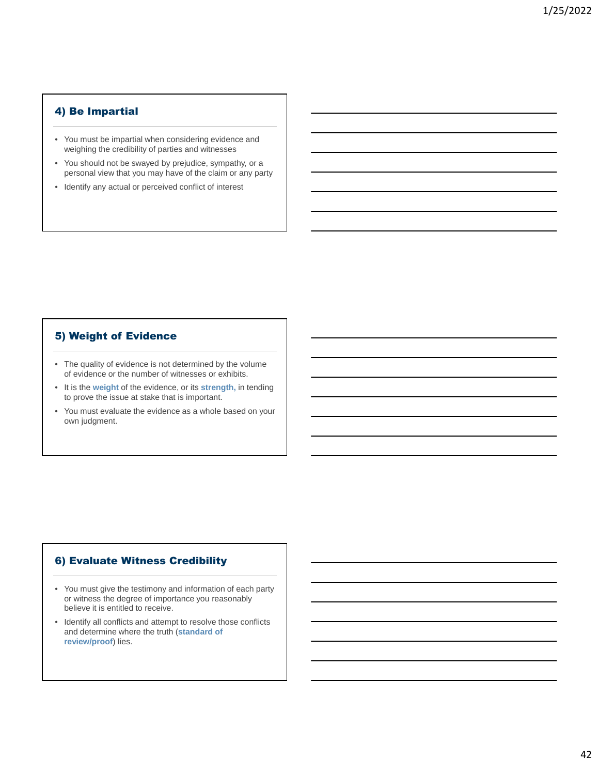# 4) Be Impartial

- You must be impartial when considering evidence and weighing the credibility of parties and witnesses
- You should not be swayed by prejudice, sympathy, or a personal view that you may have of the claim or any party
- Identify any actual or perceived conflict of interest

# 5) Weight of Evidence

- The quality of evidence is not determined by the volume of evidence or the number of witnesses or exhibits.
- It is the **weight** of the evidence, or its **strength,** in tending to prove the issue at stake that is important.
- You must evaluate the evidence as a whole based on your own judgment.

# 6) Evaluate Witness Credibility

- You must give the testimony and information of each party or witness the degree of importance you reasonably believe it is entitled to receive.
- Identify all conflicts and attempt to resolve those conflicts and determine where the truth (**standard of review/proof**) lies.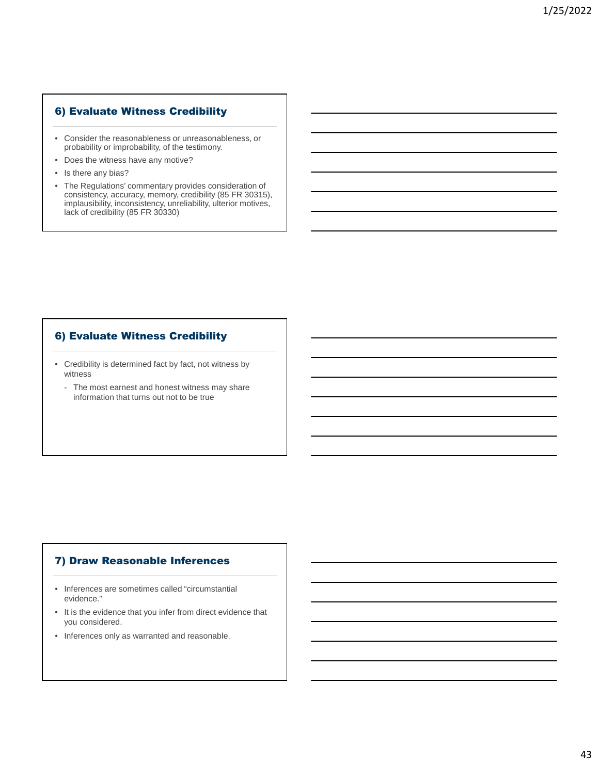# 6) Evaluate Witness Credibility

- Consider the reasonableness or unreasonableness, or probability or improbability, of the testimony.
- Does the witness have any motive?
- Is there any bias?
- The Regulations' commentary provides consideration of consistency, accuracy, memory, credibility (85 FR 30315), implausibility, inconsistency, unreliability, ulterior motives, lack of credibility (85 FR 30330)

# 6) Evaluate Witness Credibility

- Credibility is determined fact by fact, not witness by witness
	- The most earnest and honest witness may share information that turns out not to be true

# 7) Draw Reasonable Inferences

- Inferences are sometimes called "circumstantial evidence."
- It is the evidence that you infer from direct evidence that you considered.
- Inferences only as warranted and reasonable.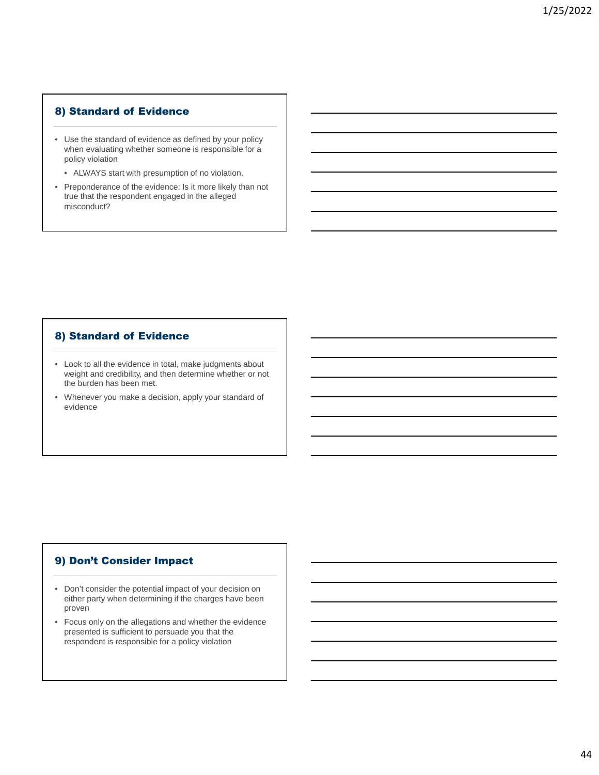# 8) Standard of Evidence

- Use the standard of evidence as defined by your policy when evaluating whether someone is responsible for a policy violation
	- ALWAYS start with presumption of no violation.
- Preponderance of the evidence: Is it more likely than not true that the respondent engaged in the alleged misconduct?

# 8) Standard of Evidence

- Look to all the evidence in total, make judgments about weight and credibility, and then determine whether or not the burden has been met.
- Whenever you make a decision, apply your standard of evidence

# 9) Don't Consider Impact

- Don't consider the potential impact of your decision on either party when determining if the charges have been proven
- Focus only on the allegations and whether the evidence presented is sufficient to persuade you that the respondent is responsible for a policy violation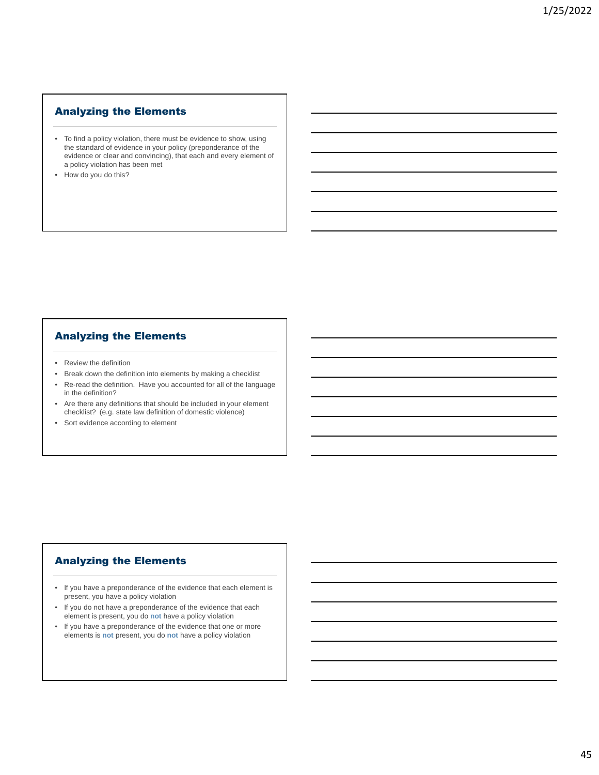# Analyzing the Elements

- To find a policy violation, there must be evidence to show, using the standard of evidence in your policy (preponderance of the evidence or clear and convincing), that each and every element of a policy violation has been met
- How do you do this?

# Analyzing the Elements

- Review the definition
- Break down the definition into elements by making a checklist
- Re-read the definition. Have you accounted for all of the language in the definition?
- Are there any definitions that should be included in your element checklist? (e.g. state law definition of domestic violence)
- Sort evidence according to element

# Analyzing the Elements

- If you have a preponderance of the evidence that each element is present, you have a policy violation
- If you do not have a preponderance of the evidence that each element is present, you do **not** have a policy violation
- If you have a preponderance of the evidence that one or more elements is **not** present, you do **not** have a policy violation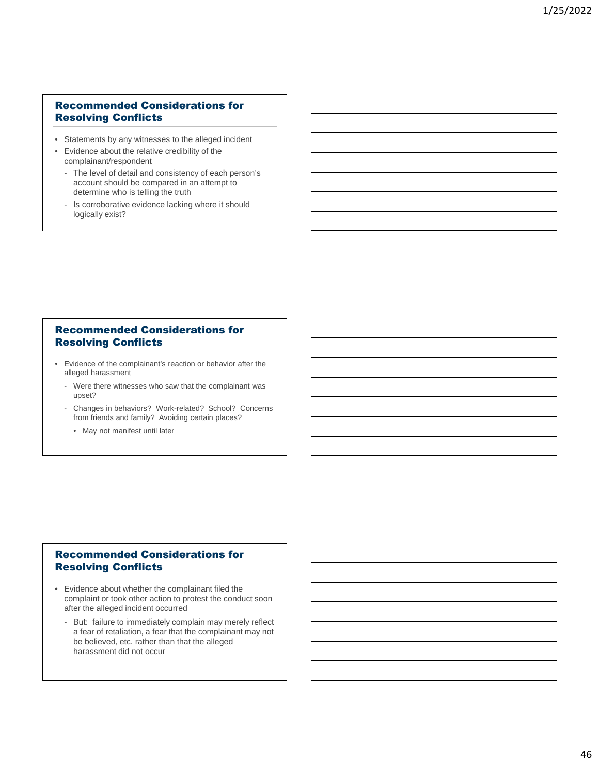# Recommended Considerations for Resolving Conflicts

- Statements by any witnesses to the alleged incident
- Evidence about the relative credibility of the complainant/respondent
	- The level of detail and consistency of each person's account should be compared in an attempt to determine who is telling the truth
	- Is corroborative evidence lacking where it should logically exist?

# Recommended Considerations for Resolving Conflicts

- Evidence of the complainant's reaction or behavior after the alleged harassment
	- Were there witnesses who saw that the complainant was upset?
	- Changes in behaviors? Work-related? School? Concerns from friends and family? Avoiding certain places?
		- May not manifest until later

# Recommended Considerations for Resolving Conflicts

- Evidence about whether the complainant filed the complaint or took other action to protest the conduct soon after the alleged incident occurred
	- But: failure to immediately complain may merely reflect a fear of retaliation, a fear that the complainant may not be believed, etc. rather than that the alleged harassment did not occur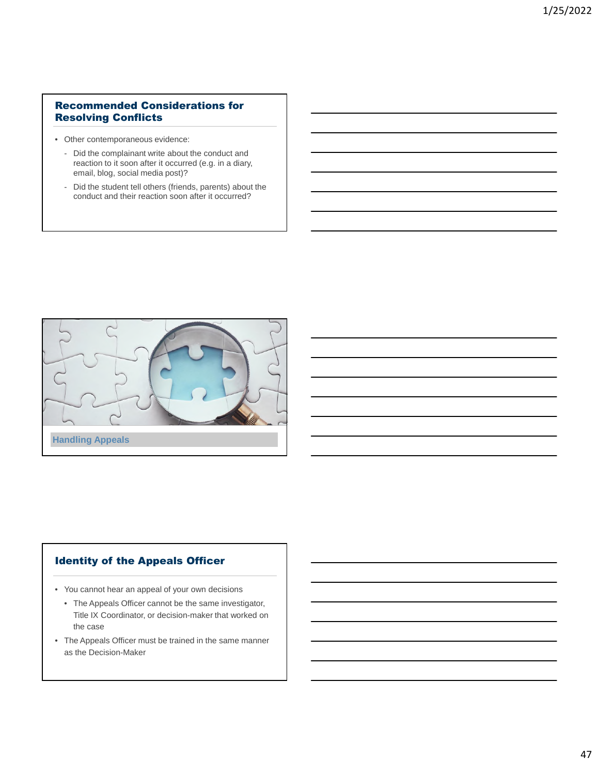# Recommended Considerations for Resolving Conflicts

- Other contemporaneous evidence:
	- Did the complainant write about the conduct and reaction to it soon after it occurred (e.g. in a diary, email, blog, social media post)?
	- Did the student tell others (friends, parents) about the conduct and their reaction soon after it occurred?



# Identity of the Appeals Officer

- You cannot hear an appeal of your own decisions
	- The Appeals Officer cannot be the same investigator, Title IX Coordinator, or decision-maker that worked on the case
- The Appeals Officer must be trained in the same manner as the Decision-Maker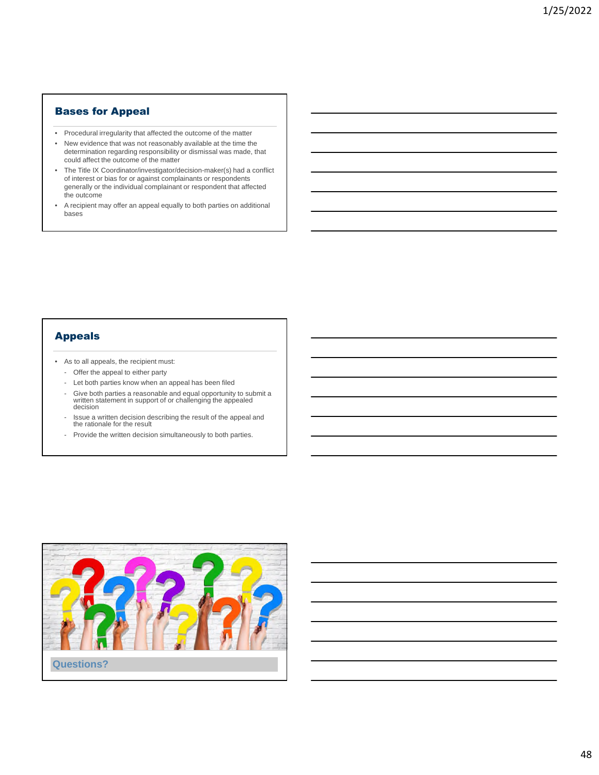### Bases for Appeal

- Procedural irregularity that affected the outcome of the matter
- New evidence that was not reasonably available at the time the determination regarding responsibility or dismissal was made, that could affect the outcome of the matter
- The Title IX Coordinator/investigator/decision-maker(s) had a conflict of interest or bias for or against complainants or respondents generally or the individual complainant or respondent that affected the outcome
- A recipient may offer an appeal equally to both parties on additional bases

# Appeals

- As to all appeals, the recipient must:
	- Offer the appeal to either party
	- Let both parties know when an appeal has been filed
	- Give both parties a reasonable and equal opportunity to submit a written statement in support of or challenging the appealed decision
	- Issue a written decision describing the result of the appeal and the rationale for the result
	- Provide the written decision simultaneously to both parties.